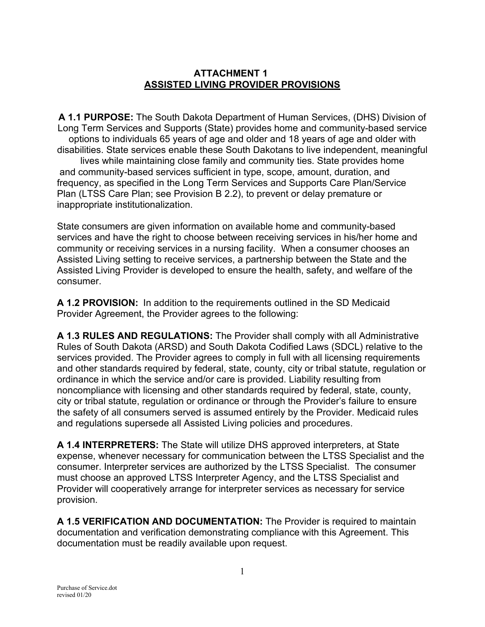## **ATTACHMENT 1 ASSISTED LIVING PROVIDER PROVISIONS**

**A 1.1 PURPOSE:** The South Dakota Department of Human Services, (DHS) Division of Long Term Services and Supports (State) provides home and community-based service options to individuals 65 years of age and older and 18 years of age and older with disabilities. State services enable these South Dakotans to live independent, meaningful lives while maintaining close family and community ties. State provides home and community-based services sufficient in type, scope, amount, duration, and frequency, as specified in the Long Term Services and Supports Care Plan/Service Plan (LTSS Care Plan; see Provision B 2.2), to prevent or delay premature or inappropriate institutionalization.

State consumers are given information on available home and community-based services and have the right to choose between receiving services in his/her home and community or receiving services in a nursing facility. When a consumer chooses an Assisted Living setting to receive services, a partnership between the State and the Assisted Living Provider is developed to ensure the health, safety, and welfare of the consumer.

**A 1.2 PROVISION:** In addition to the requirements outlined in the SD Medicaid Provider Agreement, the Provider agrees to the following:

**A 1.3 RULES AND REGULATIONS:** The Provider shall comply with all Administrative Rules of South Dakota (ARSD) and South Dakota Codified Laws (SDCL) relative to the services provided. The Provider agrees to comply in full with all licensing requirements and other standards required by federal, state, county, city or tribal statute, regulation or ordinance in which the service and/or care is provided. Liability resulting from noncompliance with licensing and other standards required by federal, state, county, city or tribal statute, regulation or ordinance or through the Provider's failure to ensure the safety of all consumers served is assumed entirely by the Provider. Medicaid rules and regulations supersede all Assisted Living policies and procedures.

**A 1.4 INTERPRETERS:** The State will utilize DHS approved interpreters, at State expense, whenever necessary for communication between the LTSS Specialist and the consumer. Interpreter services are authorized by the LTSS Specialist. The consumer must choose an approved LTSS Interpreter Agency, and the LTSS Specialist and Provider will cooperatively arrange for interpreter services as necessary for service provision.

**A 1.5 VERIFICATION AND DOCUMENTATION:** The Provider is required to maintain documentation and verification demonstrating compliance with this Agreement. This documentation must be readily available upon request.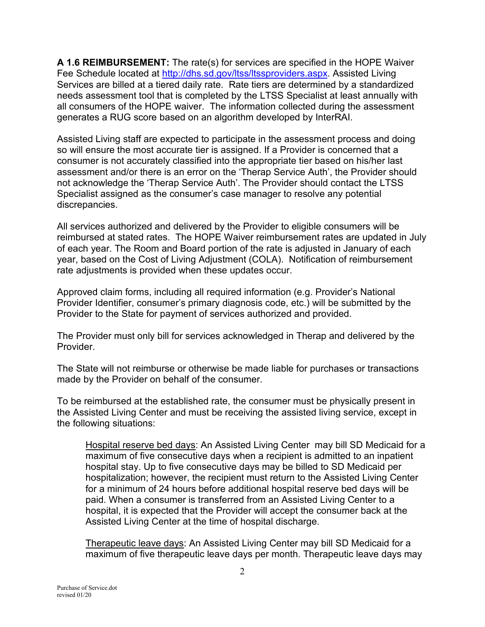**A 1.6 REIMBURSEMENT:** The rate(s) for services are specified in the HOPE Waiver Fee Schedule located at [http://dhs.sd.gov/ltss/ltssproviders.aspx.](http://dhs.sd.gov/ltss/ltssproviders.aspx) Assisted Living Services are billed at a tiered daily rate. Rate tiers are determined by a standardized needs assessment tool that is completed by the LTSS Specialist at least annually with all consumers of the HOPE waiver. The information collected during the assessment generates a RUG score based on an algorithm developed by InterRAI.

Assisted Living staff are expected to participate in the assessment process and doing so will ensure the most accurate tier is assigned. If a Provider is concerned that a consumer is not accurately classified into the appropriate tier based on his/her last assessment and/or there is an error on the 'Therap Service Auth', the Provider should not acknowledge the 'Therap Service Auth'. The Provider should contact the LTSS Specialist assigned as the consumer's case manager to resolve any potential discrepancies.

All services authorized and delivered by the Provider to eligible consumers will be reimbursed at stated rates. The HOPE Waiver reimbursement rates are updated in July of each year. The Room and Board portion of the rate is adjusted in January of each year, based on the Cost of Living Adjustment (COLA). Notification of reimbursement rate adjustments is provided when these updates occur.

Approved claim forms, including all required information (e.g. Provider's National Provider Identifier, consumer's primary diagnosis code, etc.) will be submitted by the Provider to the State for payment of services authorized and provided.

The Provider must only bill for services acknowledged in Therap and delivered by the **Provider** 

The State will not reimburse or otherwise be made liable for purchases or transactions made by the Provider on behalf of the consumer.

To be reimbursed at the established rate, the consumer must be physically present in the Assisted Living Center and must be receiving the assisted living service, except in the following situations:

Hospital reserve bed days: An Assisted Living Center may bill SD Medicaid for a maximum of five consecutive days when a recipient is admitted to an inpatient hospital stay. Up to five consecutive days may be billed to SD Medicaid per hospitalization; however, the recipient must return to the Assisted Living Center for a minimum of 24 hours before additional hospital reserve bed days will be paid. When a consumer is transferred from an Assisted Living Center to a hospital, it is expected that the Provider will accept the consumer back at the Assisted Living Center at the time of hospital discharge.

Therapeutic leave days: An Assisted Living Center may bill SD Medicaid for a maximum of five therapeutic leave days per month. Therapeutic leave days may

Purchase of Service.dot revised 01/20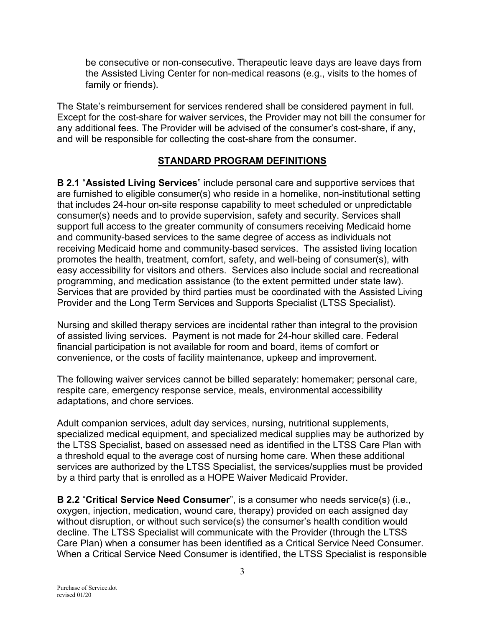be consecutive or non-consecutive. Therapeutic leave days are leave days from the Assisted Living Center for non-medical reasons (e.g., visits to the homes of family or friends).

The State's reimbursement for services rendered shall be considered payment in full. Except for the cost-share for waiver services, the Provider may not bill the consumer for any additional fees. The Provider will be advised of the consumer's cost-share, if any, and will be responsible for collecting the cost-share from the consumer.

### **STANDARD PROGRAM DEFINITIONS**

**B 2.1** "**Assisted Living Services**" include personal care and supportive services that are furnished to eligible consumer(s) who reside in a homelike, non-institutional setting that includes 24-hour on-site response capability to meet scheduled or unpredictable consumer(s) needs and to provide supervision, safety and security. Services shall support full access to the greater community of consumers receiving Medicaid home and community-based services to the same degree of access as individuals not receiving Medicaid home and community-based services. The assisted living location promotes the health, treatment, comfort, safety, and well-being of consumer(s), with easy accessibility for visitors and others. Services also include social and recreational programming, and medication assistance (to the extent permitted under state law). Services that are provided by third parties must be coordinated with the Assisted Living Provider and the Long Term Services and Supports Specialist (LTSS Specialist).

Nursing and skilled therapy services are incidental rather than integral to the provision of assisted living services. Payment is not made for 24-hour skilled care. Federal financial participation is not available for room and board, items of comfort or convenience, or the costs of facility maintenance, upkeep and improvement.

The following waiver services cannot be billed separately: homemaker; personal care, respite care, emergency response service, meals, environmental accessibility adaptations, and chore services.

Adult companion services, adult day services, nursing, nutritional supplements, specialized medical equipment, and specialized medical supplies may be authorized by the LTSS Specialist, based on assessed need as identified in the LTSS Care Plan with a threshold equal to the average cost of nursing home care. When these additional services are authorized by the LTSS Specialist, the services/supplies must be provided by a third party that is enrolled as a HOPE Waiver Medicaid Provider.

**B 2.2** "**Critical Service Need Consumer**", is a consumer who needs service(s) (i.e., oxygen, injection, medication, wound care, therapy) provided on each assigned day without disruption, or without such service(s) the consumer's health condition would decline. The LTSS Specialist will communicate with the Provider (through the LTSS Care Plan) when a consumer has been identified as a Critical Service Need Consumer. When a Critical Service Need Consumer is identified, the LTSS Specialist is responsible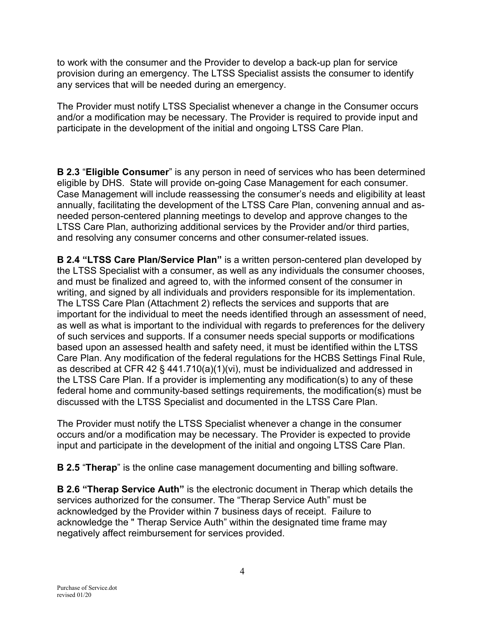to work with the consumer and the Provider to develop a back-up plan for service provision during an emergency. The LTSS Specialist assists the consumer to identify any services that will be needed during an emergency.

The Provider must notify LTSS Specialist whenever a change in the Consumer occurs and/or a modification may be necessary. The Provider is required to provide input and participate in the development of the initial and ongoing LTSS Care Plan.

**B 2.3** "**Eligible Consumer**" is any person in need of services who has been determined eligible by DHS. State will provide on-going Case Management for each consumer. Case Management will include reassessing the consumer's needs and eligibility at least annually, facilitating the development of the LTSS Care Plan, convening annual and asneeded person-centered planning meetings to develop and approve changes to the LTSS Care Plan, authorizing additional services by the Provider and/or third parties, and resolving any consumer concerns and other consumer-related issues.

**B 2.4 "LTSS Care Plan/Service Plan"** is a written person-centered plan developed by the LTSS Specialist with a consumer, as well as any individuals the consumer chooses, and must be finalized and agreed to, with the informed consent of the consumer in writing, and signed by all individuals and providers responsible for its implementation. The LTSS Care Plan (Attachment 2) reflects the services and supports that are important for the individual to meet the needs identified through an assessment of need, as well as what is important to the individual with regards to preferences for the delivery of such services and supports. If a consumer needs special supports or modifications based upon an assessed health and safety need, it must be identified within the LTSS Care Plan. Any modification of the federal regulations for the HCBS Settings Final Rule, as described at CFR 42 § 441.710(a)(1)(vi), must be individualized and addressed in the LTSS Care Plan. If a provider is implementing any modification(s) to any of these federal home and community-based settings requirements, the modification(s) must be discussed with the LTSS Specialist and documented in the LTSS Care Plan.

The Provider must notify the LTSS Specialist whenever a change in the consumer occurs and/or a modification may be necessary. The Provider is expected to provide input and participate in the development of the initial and ongoing LTSS Care Plan.

**B 2.5** "**Therap**" is the online case management documenting and billing software.

**B 2.6 "Therap Service Auth"** is the electronic document in Therap which details the services authorized for the consumer. The "Therap Service Auth" must be acknowledged by the Provider within 7 business days of receipt. Failure to acknowledge the " Therap Service Auth" within the designated time frame may negatively affect reimbursement for services provided.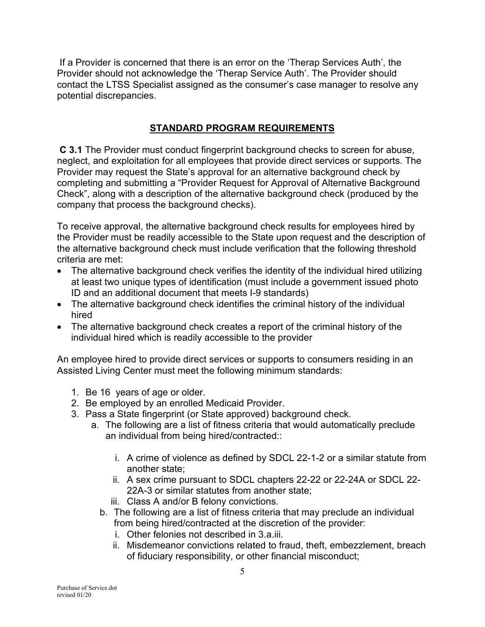If a Provider is concerned that there is an error on the 'Therap Services Auth', the Provider should not acknowledge the 'Therap Service Auth'. The Provider should contact the LTSS Specialist assigned as the consumer's case manager to resolve any potential discrepancies.

## **STANDARD PROGRAM REQUIREMENTS**

**C 3.1** The Provider must conduct fingerprint background checks to screen for abuse, neglect, and exploitation for all employees that provide direct services or supports. The Provider may request the State's approval for an alternative background check by completing and submitting a "Provider Request for Approval of Alternative Background Check", along with a description of the alternative background check (produced by the company that process the background checks).

To receive approval, the alternative background check results for employees hired by the Provider must be readily accessible to the State upon request and the description of the alternative background check must include verification that the following threshold criteria are met:

- The alternative background check verifies the identity of the individual hired utilizing at least two unique types of identification (must include a government issued photo ID and an additional document that meets I-9 standards)
- The alternative background check identifies the criminal history of the individual hired
- The alternative background check creates a report of the criminal history of the individual hired which is readily accessible to the provider

An employee hired to provide direct services or supports to consumers residing in an Assisted Living Center must meet the following minimum standards:

- 1. Be 16 years of age or older.
- 2. Be employed by an enrolled Medicaid Provider.
- 3. Pass a State fingerprint (or State approved) background check.
	- a. The following are a list of fitness criteria that would automatically preclude an individual from being hired/contracted::
		- i. A crime of violence as defined by SDCL 22-1-2 or a similar statute from another state;
		- ii. A sex crime pursuant to SDCL chapters 22-22 or 22-24A or SDCL 22- 22A-3 or similar statutes from another state;
		- iii. Class A and/or B felony convictions.
		- b. The following are a list of fitness criteria that may preclude an individual from being hired/contracted at the discretion of the provider:
			- i. Other felonies not described in 3.a.iii.
			- ii. Misdemeanor convictions related to fraud, theft, embezzlement, breach of fiduciary responsibility, or other financial misconduct;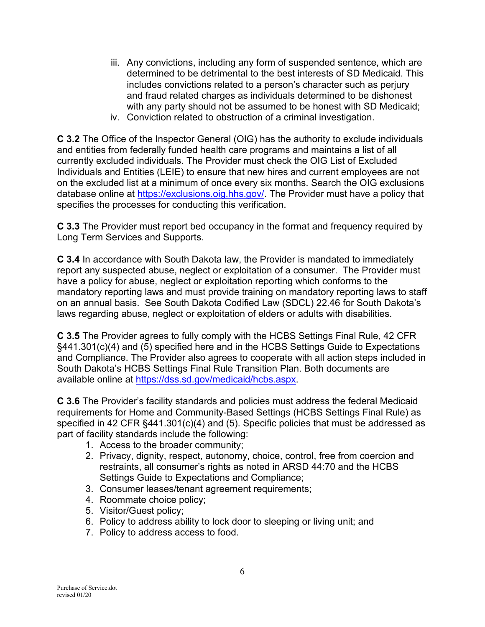- iii. Any convictions, including any form of suspended sentence, which are determined to be detrimental to the best interests of SD Medicaid. This includes convictions related to a person's character such as perjury and fraud related charges as individuals determined to be dishonest with any party should not be assumed to be honest with SD Medicaid;
- iv. Conviction related to obstruction of a criminal investigation.

**C 3.2** The Office of the Inspector General (OIG) has the authority to exclude individuals and entities from federally funded health care programs and maintains a list of all currently excluded individuals. The Provider must check the OIG List of Excluded Individuals and Entities (LEIE) to ensure that new hires and current employees are not on the excluded list at a minimum of once every six months. Search the OIG exclusions database online at [https://exclusions.oig.hhs.gov/.](https://exclusions.oig.hhs.gov/) The Provider must have a policy that specifies the processes for conducting this verification.

**C 3.3** The Provider must report bed occupancy in the format and frequency required by Long Term Services and Supports.

**C 3.4** In accordance with South Dakota law, the Provider is mandated to immediately report any suspected abuse, neglect or exploitation of a consumer. The Provider must have a policy for abuse, neglect or exploitation reporting which conforms to the mandatory reporting laws and must provide training on mandatory reporting laws to staff on an annual basis. See South Dakota Codified Law (SDCL) 22.46 for South Dakota's laws regarding abuse, neglect or exploitation of elders or adults with disabilities.

**C 3.5** The Provider agrees to fully comply with the HCBS Settings Final Rule, 42 CFR §441.301(c)(4) and (5) specified here and in the HCBS Settings Guide to Expectations and Compliance. The Provider also agrees to cooperate with all action steps included in South Dakota's HCBS Settings Final Rule Transition Plan. Both documents are available online at [https://dss.sd.gov/medicaid/hcbs.aspx.](https://dss.sd.gov/medicaid/hcbs.aspx)

**C 3.6** The Provider's facility standards and policies must address the federal Medicaid requirements for Home and Community-Based Settings (HCBS Settings Final Rule) as specified in 42 CFR §441.301(c)(4) and (5). Specific policies that must be addressed as part of facility standards include the following:

- 1. Access to the broader community;
- 2. Privacy, dignity, respect, autonomy, choice, control, free from coercion and restraints, all consumer's rights as noted in ARSD 44:70 and the HCBS Settings Guide to Expectations and Compliance;
- 3. Consumer leases/tenant agreement requirements;
- 4. Roommate choice policy;
- 5. Visitor/Guest policy;
- 6. Policy to address ability to lock door to sleeping or living unit; and
- 7. Policy to address access to food.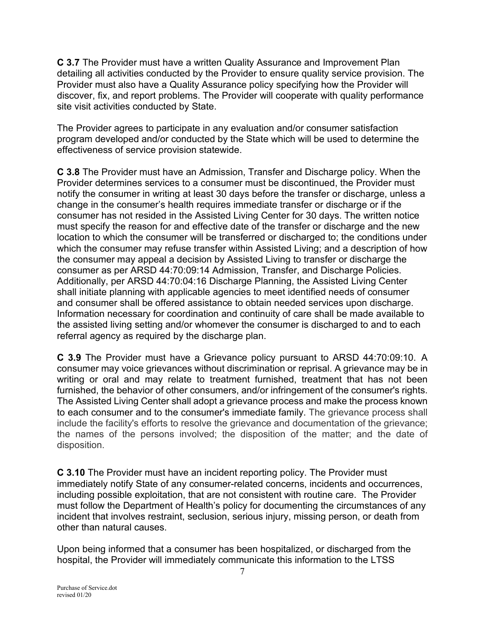**C 3.7** The Provider must have a written Quality Assurance and Improvement Plan detailing all activities conducted by the Provider to ensure quality service provision. The Provider must also have a Quality Assurance policy specifying how the Provider will discover, fix, and report problems. The Provider will cooperate with quality performance site visit activities conducted by State.

The Provider agrees to participate in any evaluation and/or consumer satisfaction program developed and/or conducted by the State which will be used to determine the effectiveness of service provision statewide.

**C 3.8** The Provider must have an Admission, Transfer and Discharge policy. When the Provider determines services to a consumer must be discontinued, the Provider must notify the consumer in writing at least 30 days before the transfer or discharge, unless a change in the consumer's health requires immediate transfer or discharge or if the consumer has not resided in the Assisted Living Center for 30 days. The written notice must specify the reason for and effective date of the transfer or discharge and the new location to which the consumer will be transferred or discharged to; the conditions under which the consumer may refuse transfer within Assisted Living; and a description of how the consumer may appeal a decision by Assisted Living to transfer or discharge the consumer as per ARSD 44:70:09:14 Admission, Transfer, and Discharge Policies. Additionally, per ARSD 44:70:04:16 Discharge Planning, the Assisted Living Center shall initiate planning with applicable agencies to meet identified needs of consumer and consumer shall be offered assistance to obtain needed services upon discharge. Information necessary for coordination and continuity of care shall be made available to the assisted living setting and/or whomever the consumer is discharged to and to each referral agency as required by the discharge plan.

**C 3.9** The Provider must have a Grievance policy pursuant to ARSD 44:70:09:10. A consumer may voice grievances without discrimination or reprisal. A grievance may be in writing or oral and may relate to treatment furnished, treatment that has not been furnished, the behavior of other consumers, and/or infringement of the consumer's rights. The Assisted Living Center shall adopt a grievance process and make the process known to each consumer and to the consumer's immediate family. The grievance process shall include the facility's efforts to resolve the grievance and documentation of the grievance; the names of the persons involved; the disposition of the matter; and the date of disposition.

**C 3.10** The Provider must have an incident reporting policy. The Provider must immediately notify State of any consumer-related concerns, incidents and occurrences, including possible exploitation, that are not consistent with routine care. The Provider must follow the Department of Health's policy for documenting the circumstances of any incident that involves restraint, seclusion, serious injury, missing person, or death from other than natural causes.

Upon being informed that a consumer has been hospitalized, or discharged from the hospital, the Provider will immediately communicate this information to the LTSS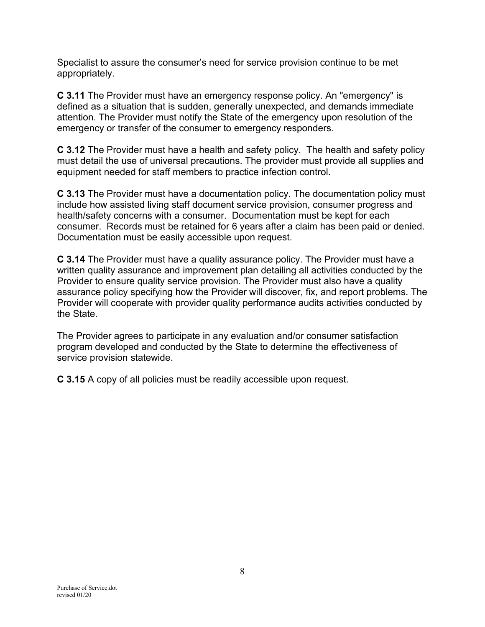Specialist to assure the consumer's need for service provision continue to be met appropriately.

**C 3.11** The Provider must have an emergency response policy. An "emergency" is defined as a situation that is sudden, generally unexpected, and demands immediate attention. The Provider must notify the State of the emergency upon resolution of the emergency or transfer of the consumer to emergency responders.

**C 3.12** The Provider must have a health and safety policy. The health and safety policy must detail the use of universal precautions. The provider must provide all supplies and equipment needed for staff members to practice infection control.

**C 3.13** The Provider must have a documentation policy. The documentation policy must include how assisted living staff document service provision, consumer progress and health/safety concerns with a consumer. Documentation must be kept for each consumer. Records must be retained for 6 years after a claim has been paid or denied. Documentation must be easily accessible upon request.

**C 3.14** The Provider must have a quality assurance policy. The Provider must have a written quality assurance and improvement plan detailing all activities conducted by the Provider to ensure quality service provision. The Provider must also have a quality assurance policy specifying how the Provider will discover, fix, and report problems. The Provider will cooperate with provider quality performance audits activities conducted by the State.

The Provider agrees to participate in any evaluation and/or consumer satisfaction program developed and conducted by the State to determine the effectiveness of service provision statewide.

**C 3.15** A copy of all policies must be readily accessible upon request.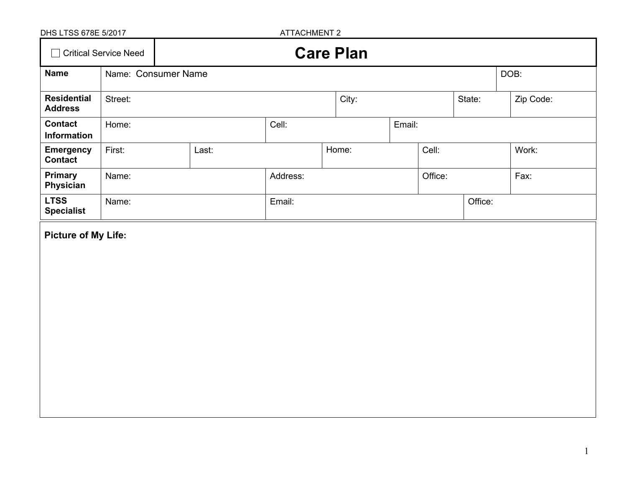| DHS LTSS 678E 5/2017                 |                     |       | <b>ATTACHMENT 2</b> |                  |  |         |         |           |
|--------------------------------------|---------------------|-------|---------------------|------------------|--|---------|---------|-----------|
| □ Critical Service Need              |                     |       |                     | <b>Care Plan</b> |  |         |         |           |
| <b>Name</b>                          | Name: Consumer Name |       |                     |                  |  |         |         | DOB:      |
| <b>Residential</b><br><b>Address</b> | Street:             |       |                     | City:            |  |         | State:  | Zip Code: |
| <b>Contact</b><br>Information        | Home:               |       | Cell:               | Email:           |  |         |         |           |
| <b>Emergency</b><br><b>Contact</b>   | First:              | Last: |                     | Home:            |  | Cell:   |         | Work:     |
| <b>Primary</b><br>Physician          | Name:               |       | Address:            |                  |  | Office: |         | Fax:      |
| <b>LTSS</b><br><b>Specialist</b>     | Name:               |       | Email:              |                  |  |         | Office: |           |
| <b>Picture of My Life:</b>           |                     |       |                     |                  |  |         |         |           |
|                                      |                     |       |                     |                  |  |         |         |           |
|                                      |                     |       |                     |                  |  |         |         |           |
|                                      |                     |       |                     |                  |  |         |         |           |
|                                      |                     |       |                     |                  |  |         |         |           |
|                                      |                     |       |                     |                  |  |         |         |           |
|                                      |                     |       |                     |                  |  |         |         |           |
|                                      |                     |       |                     |                  |  |         |         |           |
|                                      |                     |       |                     |                  |  |         |         |           |
|                                      |                     |       |                     |                  |  |         |         |           |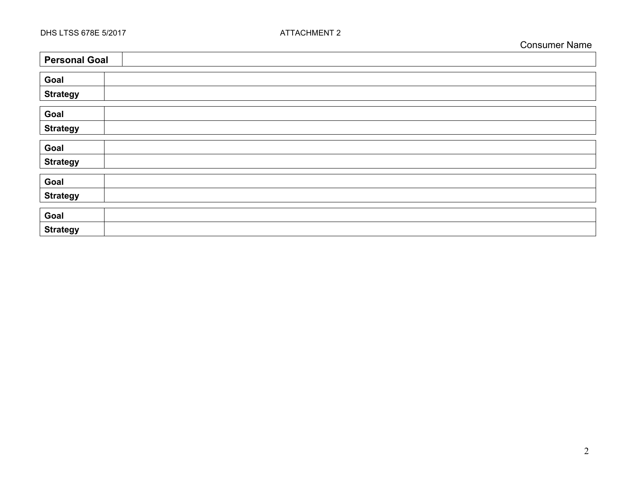$\overline{\phantom{a}}$ 

 $\blacksquare$ 

| <b>Personal Goal</b> |
|----------------------|
|                      |
| Goal                 |
| <b>Strategy</b>      |
| Goal                 |
| <b>Strategy</b>      |
|                      |
| Goal                 |
| <b>Strategy</b>      |
|                      |
| Goal                 |
| <b>Strategy</b>      |
|                      |
| Goal                 |
| <b>Strategy</b>      |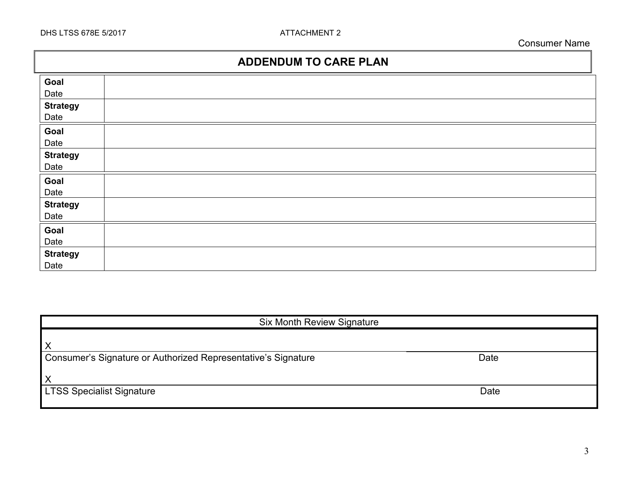## **ADDENDUM TO CARE PLAN**

| Goal            |  |
|-----------------|--|
| Date            |  |
| <b>Strategy</b> |  |
| Date            |  |
| Goal            |  |
| Date            |  |
| <b>Strategy</b> |  |
| Date            |  |
| Goal            |  |
| Date            |  |
| <b>Strategy</b> |  |
| Date            |  |
| Goal            |  |
| Date            |  |
| <b>Strategy</b> |  |
| Date            |  |

| <b>Six Month Review Signature</b>                             |      |
|---------------------------------------------------------------|------|
| Χ                                                             |      |
| Consumer's Signature or Authorized Representative's Signature | Date |
| X                                                             |      |
| <b>LTSS Specialist Signature</b>                              | Date |
|                                                               |      |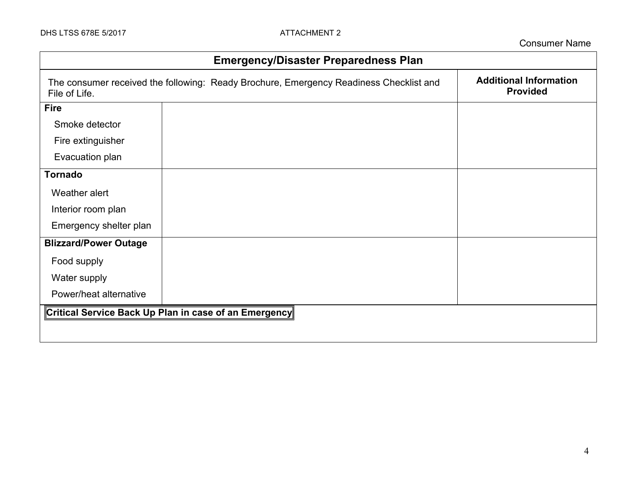| <b>Emergency/Disaster Preparedness Plan</b> |                                                                                        |                                                  |  |
|---------------------------------------------|----------------------------------------------------------------------------------------|--------------------------------------------------|--|
| File of Life.                               | The consumer received the following: Ready Brochure, Emergency Readiness Checklist and | <b>Additional Information</b><br><b>Provided</b> |  |
| <b>Fire</b>                                 |                                                                                        |                                                  |  |
| Smoke detector                              |                                                                                        |                                                  |  |
| Fire extinguisher                           |                                                                                        |                                                  |  |
| Evacuation plan                             |                                                                                        |                                                  |  |
| <b>Tornado</b>                              |                                                                                        |                                                  |  |
| Weather alert                               |                                                                                        |                                                  |  |
| Interior room plan                          |                                                                                        |                                                  |  |
| Emergency shelter plan                      |                                                                                        |                                                  |  |
| <b>Blizzard/Power Outage</b>                |                                                                                        |                                                  |  |
| Food supply                                 |                                                                                        |                                                  |  |
| Water supply                                |                                                                                        |                                                  |  |
| Power/heat alternative                      |                                                                                        |                                                  |  |
|                                             | Critical Service Back Up Plan in case of an Emergency                                  |                                                  |  |
|                                             |                                                                                        |                                                  |  |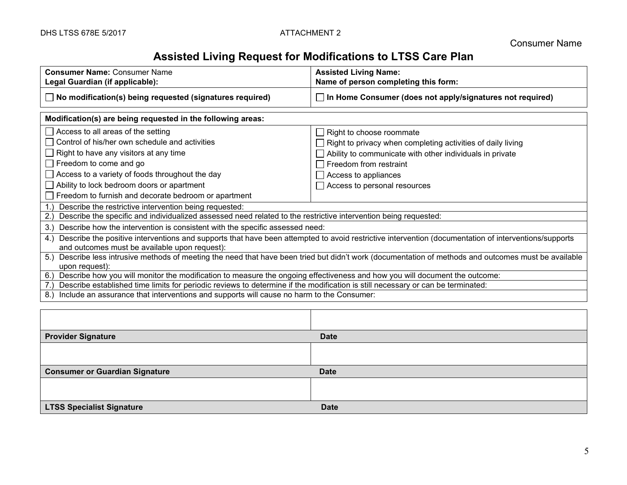# **Assisted Living Request for Modifications to LTSS Care Plan**

| <b>Assisted Living Name:</b><br>Name of person completing this form:                                                                                                                                                                                                                                                                                                                      |  |  |  |  |
|-------------------------------------------------------------------------------------------------------------------------------------------------------------------------------------------------------------------------------------------------------------------------------------------------------------------------------------------------------------------------------------------|--|--|--|--|
| $\Box$ In Home Consumer (does not apply/signatures not required)                                                                                                                                                                                                                                                                                                                          |  |  |  |  |
|                                                                                                                                                                                                                                                                                                                                                                                           |  |  |  |  |
| $\Box$ Right to choose roommate<br>$\Box$ Right to privacy when completing activities of daily living<br>$\Box$ Ability to communicate with other individuals in private<br>Freedom from restraint<br>$\Box$ Access to appliances<br>$\Box$ Access to personal resources                                                                                                                  |  |  |  |  |
| Freedom to furnish and decorate bedroom or apartment<br>Describe the restrictive intervention being requested:<br>Describe the specific and individualized assessed need related to the restrictive intervention being requested:<br>2.3<br>Describe how the intervention is consistent with the specific assessed need:<br>3.                                                            |  |  |  |  |
| Describe the positive interventions and supports that have been attempted to avoid restrictive intervention (documentation of interventions/supports<br>4.<br>and outcomes must be available upon request):<br>Describe less intrusive methods of meeting the need that have been tried but didn't work (documentation of methods and outcomes must be available<br>5.                    |  |  |  |  |
| upon request):<br>Describe how you will monitor the modification to measure the ongoing effectiveness and how you will document the outcome:<br>6.)<br>Describe established time limits for periodic reviews to determine if the modification is still necessary or can be terminated:<br>Include an assurance that interventions and supports will cause no harm to the Consumer:<br>8.) |  |  |  |  |
|                                                                                                                                                                                                                                                                                                                                                                                           |  |  |  |  |
|                                                                                                                                                                                                                                                                                                                                                                                           |  |  |  |  |

| <b>Provider Signature</b>             | <b>Date</b> |
|---------------------------------------|-------------|
|                                       |             |
|                                       |             |
| <b>Consumer or Guardian Signature</b> | <b>Date</b> |
|                                       |             |
|                                       |             |
| <b>LTSS Specialist Signature</b>      | <b>Date</b> |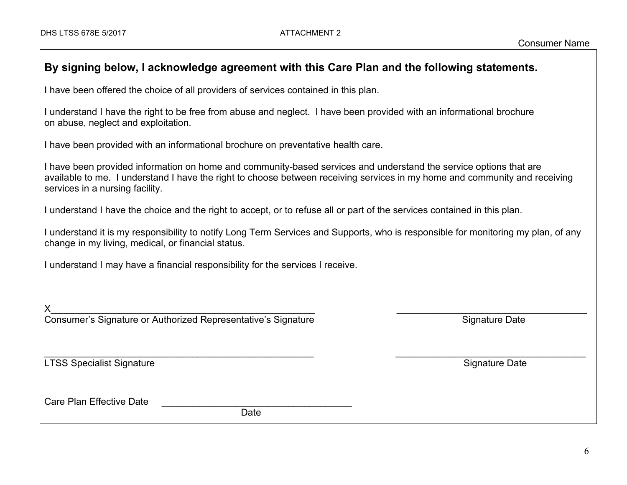| By signing below, I acknowledge agreement with this Care Plan and the following statements.                                                                                                                                                                                        |                       |  |  |  |
|------------------------------------------------------------------------------------------------------------------------------------------------------------------------------------------------------------------------------------------------------------------------------------|-----------------------|--|--|--|
| I have been offered the choice of all providers of services contained in this plan.                                                                                                                                                                                                |                       |  |  |  |
| I understand I have the right to be free from abuse and neglect. I have been provided with an informational brochure<br>on abuse, neglect and exploitation.                                                                                                                        |                       |  |  |  |
| I have been provided with an informational brochure on preventative health care.                                                                                                                                                                                                   |                       |  |  |  |
| I have been provided information on home and community-based services and understand the service options that are<br>available to me. I understand I have the right to choose between receiving services in my home and community and receiving<br>services in a nursing facility. |                       |  |  |  |
| I understand I have the choice and the right to accept, or to refuse all or part of the services contained in this plan.                                                                                                                                                           |                       |  |  |  |
| I understand it is my responsibility to notify Long Term Services and Supports, who is responsible for monitoring my plan, of any<br>change in my living, medical, or financial status.                                                                                            |                       |  |  |  |
| I understand I may have a financial responsibility for the services I receive.                                                                                                                                                                                                     |                       |  |  |  |
|                                                                                                                                                                                                                                                                                    |                       |  |  |  |
| Consumer's Signature or Authorized Representative's Signature                                                                                                                                                                                                                      | <b>Signature Date</b> |  |  |  |
|                                                                                                                                                                                                                                                                                    |                       |  |  |  |
| <b>LTSS Specialist Signature</b>                                                                                                                                                                                                                                                   | <b>Signature Date</b> |  |  |  |
| <b>Care Plan Effective Date</b><br>Date                                                                                                                                                                                                                                            |                       |  |  |  |